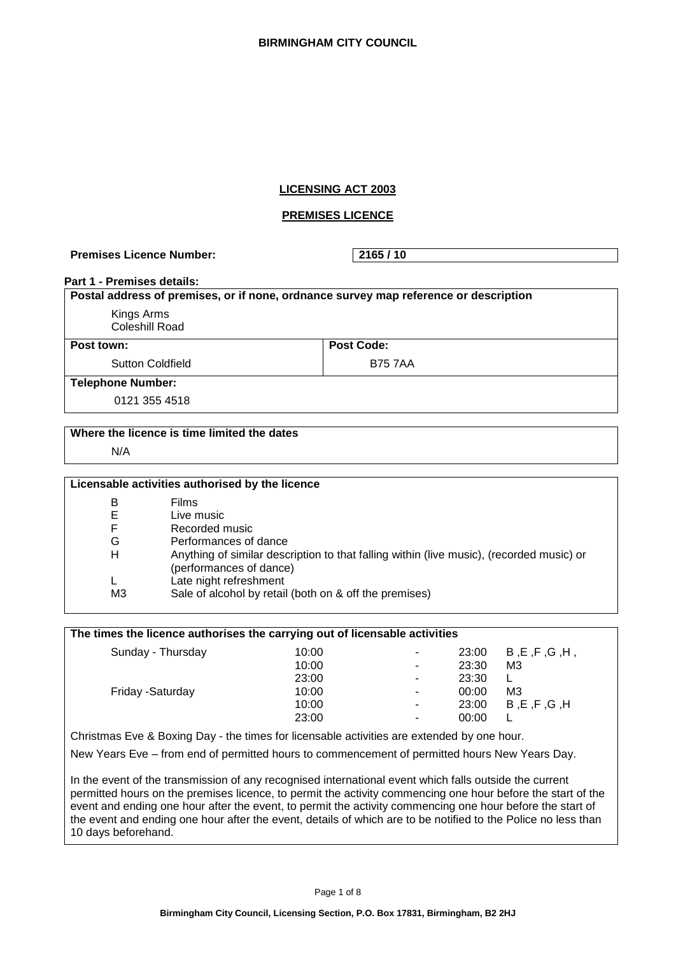# **LICENSING ACT 2003**

## **PREMISES LICENCE**

Premises Licence Number: 2165 / 10

#### **Part 1 - Premises details:**

| Postal address of premises, or if none, ordnance survey map reference or description |                   |  |
|--------------------------------------------------------------------------------------|-------------------|--|
| Kings Arms                                                                           |                   |  |
| Coleshill Road                                                                       |                   |  |
| Post town:                                                                           | <b>Post Code:</b> |  |
| <b>Sutton Coldfield</b>                                                              | <b>B75 7AA</b>    |  |
| <b>Telephone Number:</b>                                                             |                   |  |
| 0121 355 4518                                                                        |                   |  |

#### **Where the licence is time limited the dates**

N/A

| Licensable activities authorised by the licence |                                                                                                                     |  |
|-------------------------------------------------|---------------------------------------------------------------------------------------------------------------------|--|
| В                                               | <b>Films</b>                                                                                                        |  |
| Е                                               | Live music                                                                                                          |  |
| F.                                              | Recorded music                                                                                                      |  |
| G                                               | Performances of dance                                                                                               |  |
| Н                                               | Anything of similar description to that falling within (live music), (recorded music) or<br>(performances of dance) |  |
|                                                 | Late night refreshment                                                                                              |  |
| M3                                              | Sale of alcohol by retail (both on & off the premises)                                                              |  |

## **The times the licence authorises the carrying out of licensable activities**

| Sunday - Thursday | 10:00<br>10:00 | ٠<br>٠ | 23:00<br>23:30 | B.E.F.G.H,<br>M3 |
|-------------------|----------------|--------|----------------|------------------|
| Friday - Saturday | 23:00<br>10:00 | -<br>- | 23:30<br>00:00 | M <sub>3</sub>   |
|                   | 10:00          | ٠      | 23:00          | B, E, F, G, H    |
|                   | 23:00          | -      | 00:00          |                  |

Christmas Eve & Boxing Day - the times for licensable activities are extended by one hour.

New Years Eve – from end of permitted hours to commencement of permitted hours New Years Day.

In the event of the transmission of any recognised international event which falls outside the current permitted hours on the premises licence, to permit the activity commencing one hour before the start of the event and ending one hour after the event, to permit the activity commencing one hour before the start of the event and ending one hour after the event, details of which are to be notified to the Police no less than 10 days beforehand.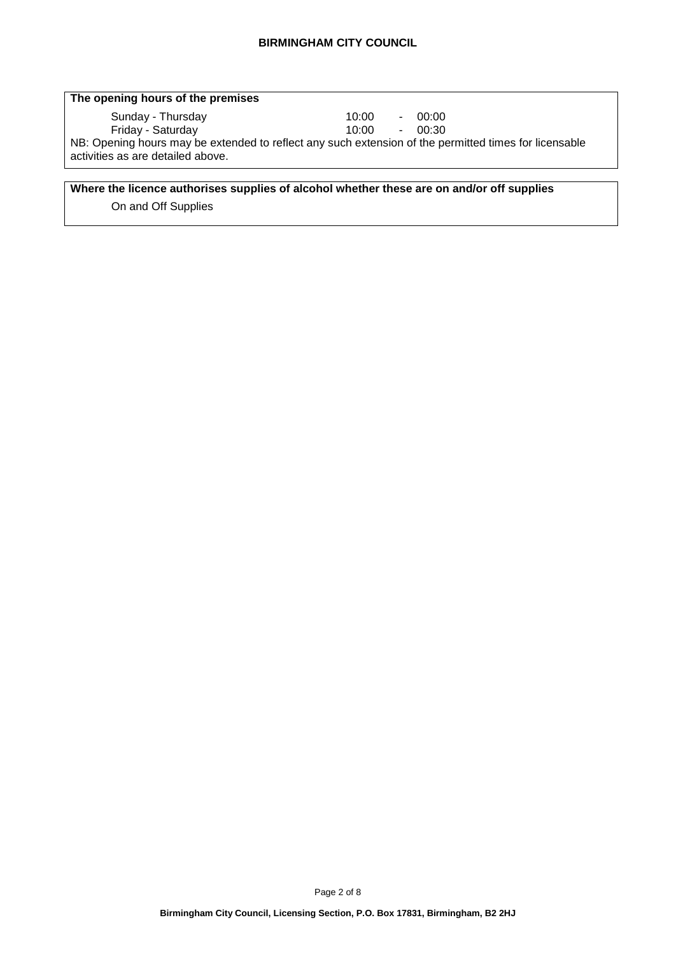| The opening hours of the premises                                                                     |        |        |       |
|-------------------------------------------------------------------------------------------------------|--------|--------|-------|
| Sunday - Thursday                                                                                     | 10:00  | $\sim$ | 00:00 |
| Friday - Saturday                                                                                     | 10:00. | $\sim$ | 00:30 |
| NB: Opening hours may be extended to reflect any such extension of the permitted times for licensable |        |        |       |
| activities as are detailed above.                                                                     |        |        |       |

## **Where the licence authorises supplies of alcohol whether these are on and/or off supplies**

On and Off Supplies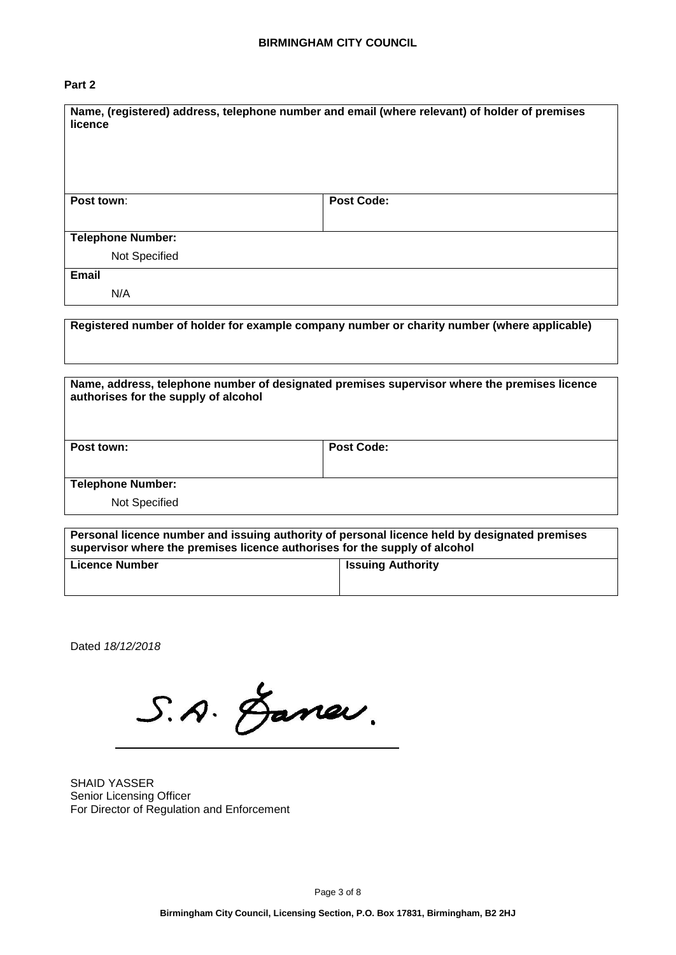# **Part 2**

| Name, (registered) address, telephone number and email (where relevant) of holder of premises<br>licence |                   |  |
|----------------------------------------------------------------------------------------------------------|-------------------|--|
| Post town:                                                                                               | <b>Post Code:</b> |  |
|                                                                                                          |                   |  |
| <b>Telephone Number:</b>                                                                                 |                   |  |
| Not Specified                                                                                            |                   |  |
| <b>Email</b>                                                                                             |                   |  |
| N/A                                                                                                      |                   |  |

**Registered number of holder for example company number or charity number (where applicable)**

| Name, address, telephone number of designated premises supervisor where the premises licence<br>authorises for the supply of alcohol |                   |  |
|--------------------------------------------------------------------------------------------------------------------------------------|-------------------|--|
| Post town:                                                                                                                           | <b>Post Code:</b> |  |
| <b>Telephone Number:</b>                                                                                                             |                   |  |
| Not Specified                                                                                                                        |                   |  |

| Personal licence number and issuing authority of personal licence held by designated premises<br>supervisor where the premises licence authorises for the supply of alcohol |                          |  |
|-----------------------------------------------------------------------------------------------------------------------------------------------------------------------------|--------------------------|--|
| <b>Licence Number</b>                                                                                                                                                       | <b>Issuing Authority</b> |  |

Dated *18/12/2018*

S.A. Janev.

SHAID YASSER Senior Licensing Officer For Director of Regulation and Enforcement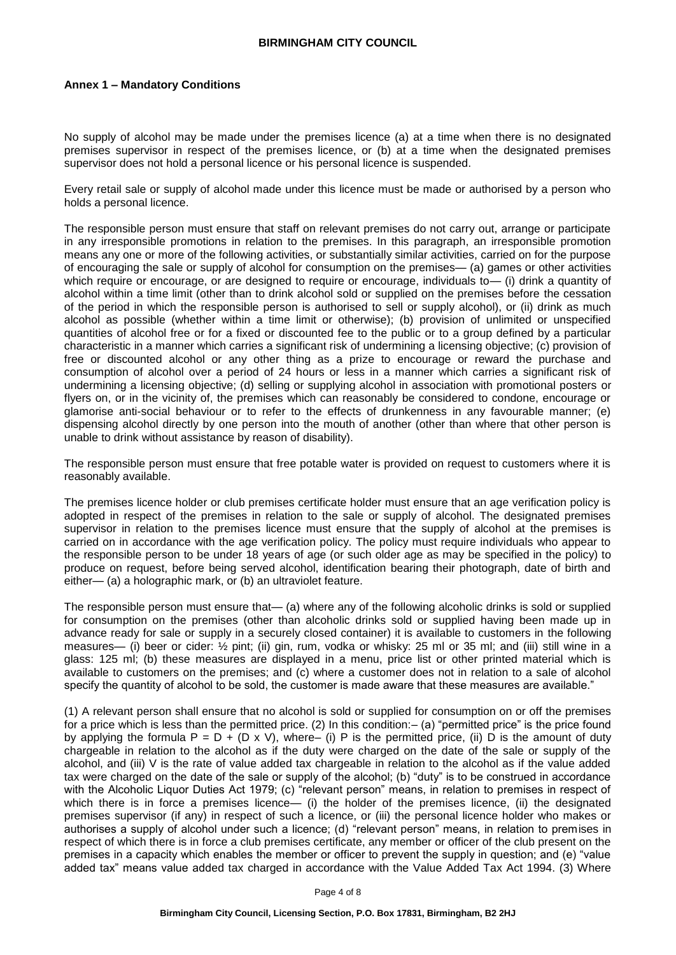#### **Annex 1 – Mandatory Conditions**

No supply of alcohol may be made under the premises licence (a) at a time when there is no designated premises supervisor in respect of the premises licence, or (b) at a time when the designated premises supervisor does not hold a personal licence or his personal licence is suspended.

Every retail sale or supply of alcohol made under this licence must be made or authorised by a person who holds a personal licence.

The responsible person must ensure that staff on relevant premises do not carry out, arrange or participate in any irresponsible promotions in relation to the premises. In this paragraph, an irresponsible promotion means any one or more of the following activities, or substantially similar activities, carried on for the purpose of encouraging the sale or supply of alcohol for consumption on the premises— (a) games or other activities which require or encourage, or are designed to require or encourage, individuals to — (i) drink a quantity of alcohol within a time limit (other than to drink alcohol sold or supplied on the premises before the cessation of the period in which the responsible person is authorised to sell or supply alcohol), or (ii) drink as much alcohol as possible (whether within a time limit or otherwise); (b) provision of unlimited or unspecified quantities of alcohol free or for a fixed or discounted fee to the public or to a group defined by a particular characteristic in a manner which carries a significant risk of undermining a licensing objective; (c) provision of free or discounted alcohol or any other thing as a prize to encourage or reward the purchase and consumption of alcohol over a period of 24 hours or less in a manner which carries a significant risk of undermining a licensing objective; (d) selling or supplying alcohol in association with promotional posters or flyers on, or in the vicinity of, the premises which can reasonably be considered to condone, encourage or glamorise anti-social behaviour or to refer to the effects of drunkenness in any favourable manner; (e) dispensing alcohol directly by one person into the mouth of another (other than where that other person is unable to drink without assistance by reason of disability).

The responsible person must ensure that free potable water is provided on request to customers where it is reasonably available.

The premises licence holder or club premises certificate holder must ensure that an age verification policy is adopted in respect of the premises in relation to the sale or supply of alcohol. The designated premises supervisor in relation to the premises licence must ensure that the supply of alcohol at the premises is carried on in accordance with the age verification policy. The policy must require individuals who appear to the responsible person to be under 18 years of age (or such older age as may be specified in the policy) to produce on request, before being served alcohol, identification bearing their photograph, date of birth and either— (a) a holographic mark, or (b) an ultraviolet feature.

The responsible person must ensure that— (a) where any of the following alcoholic drinks is sold or supplied for consumption on the premises (other than alcoholic drinks sold or supplied having been made up in advance ready for sale or supply in a securely closed container) it is available to customers in the following measures— (i) beer or cider: ½ pint; (ii) gin, rum, vodka or whisky: 25 ml or 35 ml; and (iii) still wine in a glass: 125 ml; (b) these measures are displayed in a menu, price list or other printed material which is available to customers on the premises; and (c) where a customer does not in relation to a sale of alcohol specify the quantity of alcohol to be sold, the customer is made aware that these measures are available."

(1) A relevant person shall ensure that no alcohol is sold or supplied for consumption on or off the premises for a price which is less than the permitted price. (2) In this condition: – (a) "permitted price" is the price found by applying the formula  $P = D + (D \times V)$ , where– (i) P is the permitted price, (ii) D is the amount of duty chargeable in relation to the alcohol as if the duty were charged on the date of the sale or supply of the alcohol, and (iii) V is the rate of value added tax chargeable in relation to the alcohol as if the value added tax were charged on the date of the sale or supply of the alcohol; (b) "duty" is to be construed in accordance with the Alcoholic Liquor Duties Act 1979; (c) "relevant person" means, in relation to premises in respect of which there is in force a premises licence— (i) the holder of the premises licence, (ii) the designated premises supervisor (if any) in respect of such a licence, or (iii) the personal licence holder who makes or authorises a supply of alcohol under such a licence; (d) "relevant person" means, in relation to premises in respect of which there is in force a club premises certificate, any member or officer of the club present on the premises in a capacity which enables the member or officer to prevent the supply in question; and (e) "value added tax" means value added tax charged in accordance with the Value Added Tax Act 1994. (3) Where

Page 4 of 8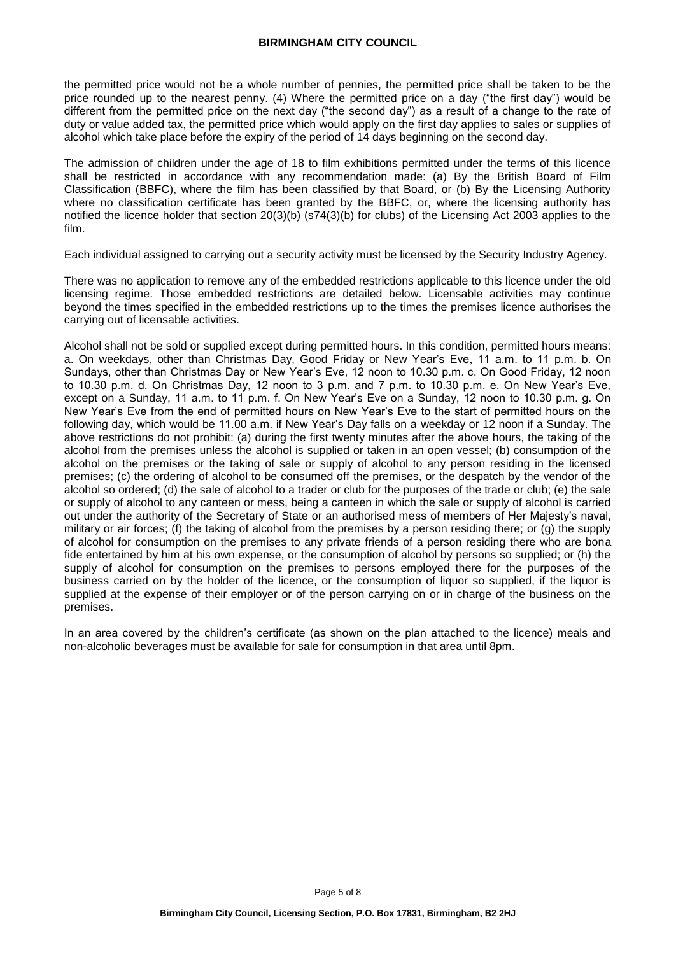the permitted price would not be a whole number of pennies, the permitted price shall be taken to be the price rounded up to the nearest penny. (4) Where the permitted price on a day ("the first day") would be different from the permitted price on the next day ("the second day") as a result of a change to the rate of duty or value added tax, the permitted price which would apply on the first day applies to sales or supplies of alcohol which take place before the expiry of the period of 14 days beginning on the second day.

The admission of children under the age of 18 to film exhibitions permitted under the terms of this licence shall be restricted in accordance with any recommendation made: (a) By the British Board of Film Classification (BBFC), where the film has been classified by that Board, or (b) By the Licensing Authority where no classification certificate has been granted by the BBFC, or, where the licensing authority has notified the licence holder that section 20(3)(b) (s74(3)(b) for clubs) of the Licensing Act 2003 applies to the film.

Each individual assigned to carrying out a security activity must be licensed by the Security Industry Agency.

There was no application to remove any of the embedded restrictions applicable to this licence under the old licensing regime. Those embedded restrictions are detailed below. Licensable activities may continue beyond the times specified in the embedded restrictions up to the times the premises licence authorises the carrying out of licensable activities.

Alcohol shall not be sold or supplied except during permitted hours. In this condition, permitted hours means: a. On weekdays, other than Christmas Day, Good Friday or New Year's Eve, 11 a.m. to 11 p.m. b. On Sundays, other than Christmas Day or New Year's Eve, 12 noon to 10.30 p.m. c. On Good Friday, 12 noon to 10.30 p.m. d. On Christmas Day, 12 noon to 3 p.m. and 7 p.m. to 10.30 p.m. e. On New Year's Eve, except on a Sunday, 11 a.m. to 11 p.m. f. On New Year's Eve on a Sunday, 12 noon to 10.30 p.m. g. On New Year's Eve from the end of permitted hours on New Year's Eve to the start of permitted hours on the following day, which would be 11.00 a.m. if New Year's Day falls on a weekday or 12 noon if a Sunday. The above restrictions do not prohibit: (a) during the first twenty minutes after the above hours, the taking of the alcohol from the premises unless the alcohol is supplied or taken in an open vessel; (b) consumption of the alcohol on the premises or the taking of sale or supply of alcohol to any person residing in the licensed premises; (c) the ordering of alcohol to be consumed off the premises, or the despatch by the vendor of the alcohol so ordered; (d) the sale of alcohol to a trader or club for the purposes of the trade or club; (e) the sale or supply of alcohol to any canteen or mess, being a canteen in which the sale or supply of alcohol is carried out under the authority of the Secretary of State or an authorised mess of members of Her Majesty's naval, military or air forces; (f) the taking of alcohol from the premises by a person residing there; or (g) the supply of alcohol for consumption on the premises to any private friends of a person residing there who are bona fide entertained by him at his own expense, or the consumption of alcohol by persons so supplied; or (h) the supply of alcohol for consumption on the premises to persons employed there for the purposes of the business carried on by the holder of the licence, or the consumption of liquor so supplied, if the liquor is supplied at the expense of their employer or of the person carrying on or in charge of the business on the premises.

In an area covered by the children's certificate (as shown on the plan attached to the licence) meals and non-alcoholic beverages must be available for sale for consumption in that area until 8pm.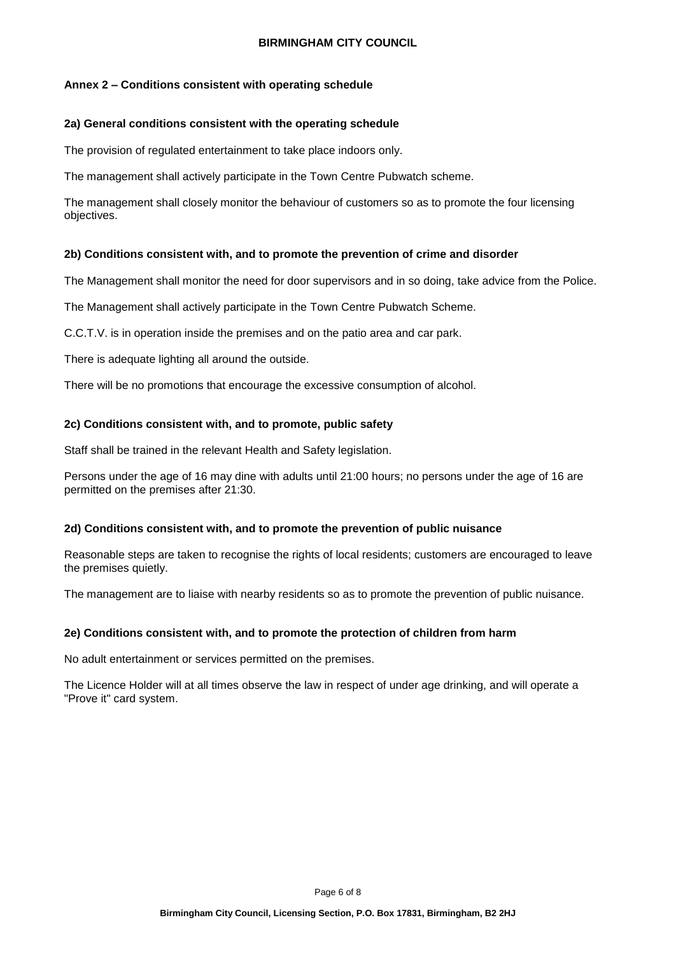## **Annex 2 – Conditions consistent with operating schedule**

## **2a) General conditions consistent with the operating schedule**

The provision of regulated entertainment to take place indoors only.

The management shall actively participate in the Town Centre Pubwatch scheme.

The management shall closely monitor the behaviour of customers so as to promote the four licensing objectives.

#### **2b) Conditions consistent with, and to promote the prevention of crime and disorder**

The Management shall monitor the need for door supervisors and in so doing, take advice from the Police.

The Management shall actively participate in the Town Centre Pubwatch Scheme.

C.C.T.V. is in operation inside the premises and on the patio area and car park.

There is adequate lighting all around the outside.

There will be no promotions that encourage the excessive consumption of alcohol.

#### **2c) Conditions consistent with, and to promote, public safety**

Staff shall be trained in the relevant Health and Safety legislation.

Persons under the age of 16 may dine with adults until 21:00 hours; no persons under the age of 16 are permitted on the premises after 21:30.

## **2d) Conditions consistent with, and to promote the prevention of public nuisance**

Reasonable steps are taken to recognise the rights of local residents; customers are encouraged to leave the premises quietly.

The management are to liaise with nearby residents so as to promote the prevention of public nuisance.

## **2e) Conditions consistent with, and to promote the protection of children from harm**

No adult entertainment or services permitted on the premises.

The Licence Holder will at all times observe the law in respect of under age drinking, and will operate a "Prove it" card system.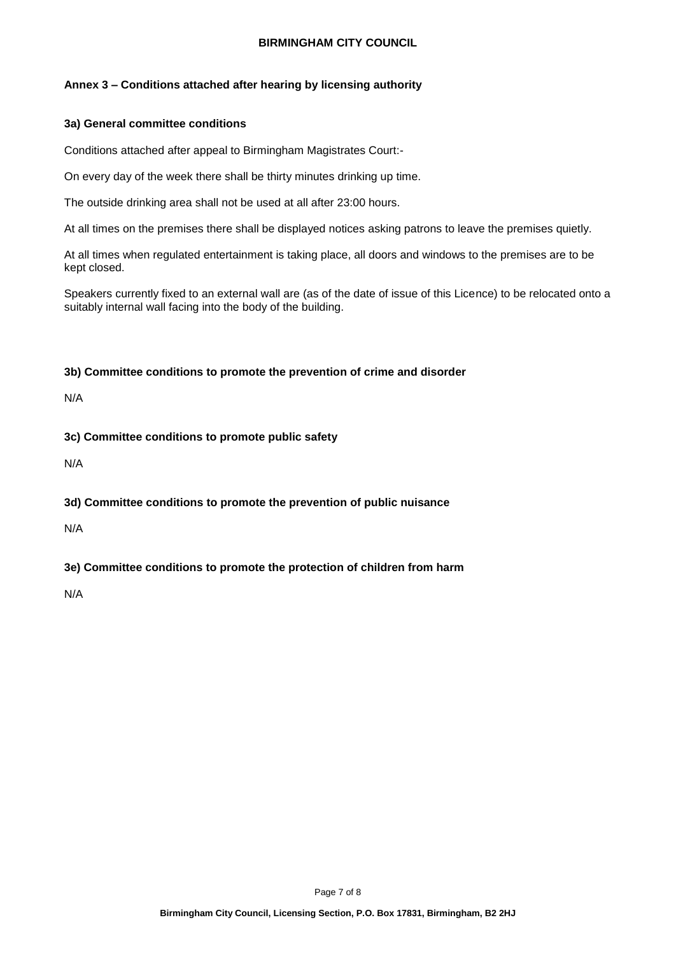## **Annex 3 – Conditions attached after hearing by licensing authority**

## **3a) General committee conditions**

Conditions attached after appeal to Birmingham Magistrates Court:-

On every day of the week there shall be thirty minutes drinking up time.

The outside drinking area shall not be used at all after 23:00 hours.

At all times on the premises there shall be displayed notices asking patrons to leave the premises quietly.

At all times when regulated entertainment is taking place, all doors and windows to the premises are to be kept closed.

Speakers currently fixed to an external wall are (as of the date of issue of this Licence) to be relocated onto a suitably internal wall facing into the body of the building.

## **3b) Committee conditions to promote the prevention of crime and disorder**

N/A

**3c) Committee conditions to promote public safety**

N/A

# **3d) Committee conditions to promote the prevention of public nuisance**

N/A

# **3e) Committee conditions to promote the protection of children from harm**

N/A